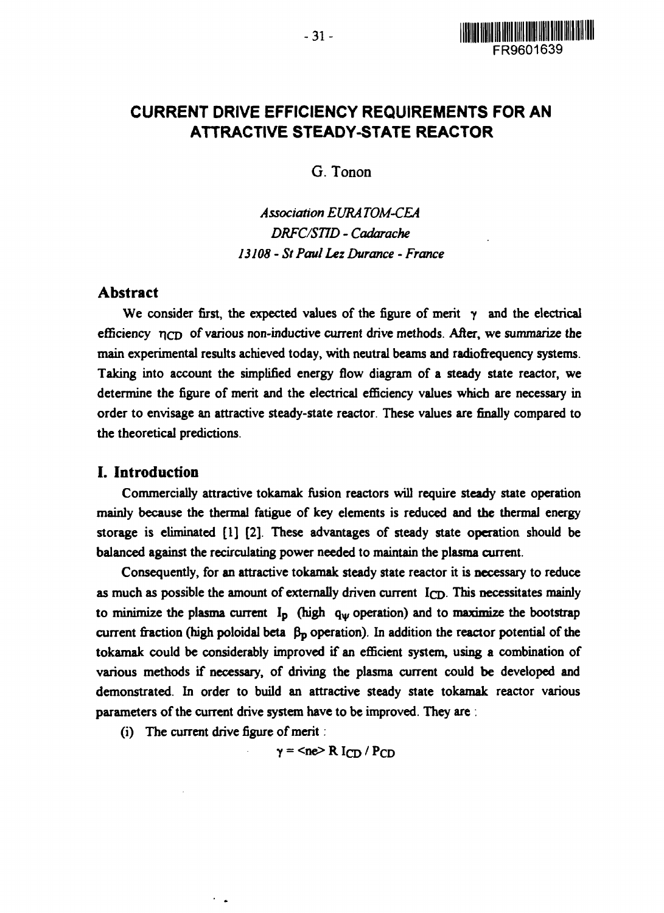

# **CURRENT DRIVE EFFICIENCY REQUIREMENTS FOR AN ATTRACTIVE STEADY-STATE REACTOR**

G. Tonon

*Association EURA TOM-CEA DRFC/STID* - *Cadarache 13108 - St Paul Lez Durance - France*

# **Abstract**

We consider first, the expected values of the figure of merit *y* and the electrical efficiency  $\eta_{CD}$  of various non-inductive current drive methods. After, we summarize the main experimental results achieved today, with neutral beams and radiofrequency systems. Taking into account the simplified energy flow diagram of a steady state reactor, we determine the figure of merit and the electrical efficiency values which are necessary in order to envisage an attractive steady-state reactor. These values are finally compared to the theoretical predictions.

# **I. Introduction**

Commercially attractive tokamak fusion reactors will require steady state operation mainly because the thermal fatigue of key elements is reduced and the thermal energy storage is eliminated [1] [2]. These advantages of steady state operation should be balanced against the recirculating power needed to maintain the plasma current.

Consequently, for an attractive tokamak steady state reactor it is necessary to reduce as much as possible the amount of externally driven current  $I<sub>CD</sub>$ . This necessitates mainly to minimize the plasma current  $I_p$  (high  $q_\psi$  operation) and to maximize the bootstrap current fraction (high poloidal beta  $\beta_p$  operation). In addition the reactor potential of the tokamak could be considerably improved if an efficient system, using a combination of various methods if necessary, of driving the plasma current could be developed and demonstrated. In order to build an attractive steady state tokamak reactor various parameters of the current drive system have to be improved. They are .

(i) The current drive figure of merit:

 $\sim$   $\sim$ 

 $y =$  <ne> R I<sub>CD</sub> / P<sub>CD</sub>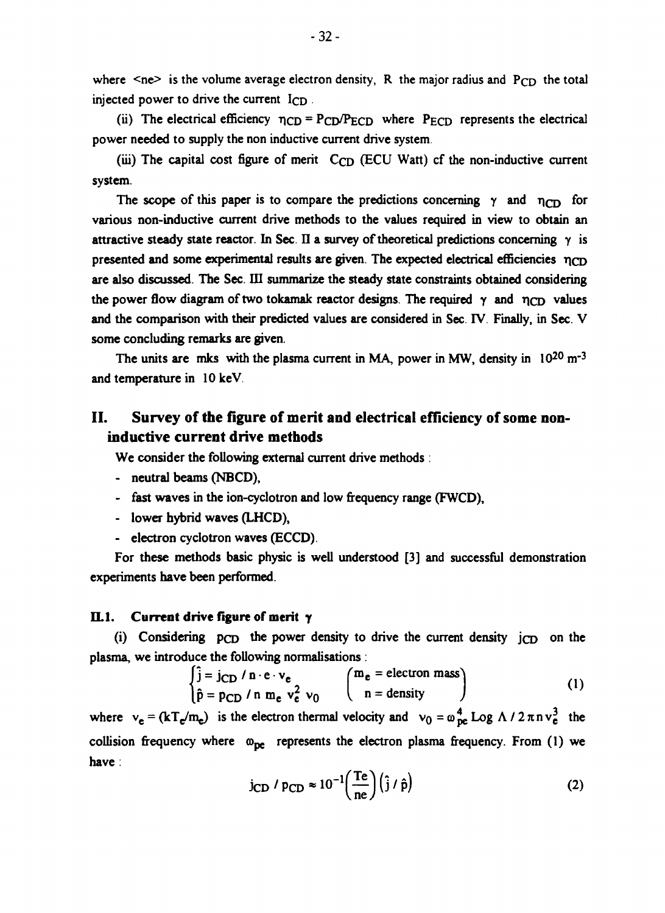where  $\leq$ ne> is the volume average electron density, R the major radius and P<sub>CD</sub> the total injected power to drive the current I<sub>CD</sub>.

(ii) The electrical efficiency  $\eta_{CD} = P_{CD}/P_{ECD}$  where  $P_{ECD}$  represents the electrical power needed to supply the non inductive current drive system.

(iii) The capital cost figure of merit  $C_{CD}$  (ECU Watt) of the non-inductive current system.

The scope of this paper is to compare the predictions concerning  $\gamma$  and  $\eta_{CD}$  for various non-inductive current drive methods to the values required in view to obtain an attractive steady state reactor. In Sec. II a survey of theoretical predictions concerning  $\gamma$  is presented and some experimental results are given. The expected electrical efficiencies *r\cD* are also discussed. The Sec. III summarize the steady state constraints obtained considering the power flow diagram of two tokamak reactor designs. The required  $\gamma$  and  $\eta_{CD}$  values and the comparison with their predicted values are considered in Sec. IV. Finally, in Sec. V some concluding remarks are given.

The units are mks with the plasma current in MA, power in MW, density in  $10^{20}$  m<sup>-3</sup> and temperature in 10 keV

# **II. Survey of the figure of merit and electrical efficiency of some noninductive current drive methods**

We consider the following external current drive methods :

- neutral beams (NBCD),
- fast waves in the ion-cyclotron and low frequency range (FWCD),
- lower hybrid waves (LHCD),
- electron cyclotron waves (ECCD).

For these methods basic physic is well understood [3] and successful demonstration experiments have been performed.

#### **IL1.** Current drive figure of merit  $\gamma$

(i) Considering  $PCD$  the power density to drive the current density  $PCD$  on the plasma, we introduce the following normalisations :

$$
\begin{cases}\n\hat{j} = j_{CD} / n \cdot e \cdot v_e \\
\hat{p} = p_{CD} / n m_e v_e^2 v_0\n\end{cases}\n\begin{pmatrix}\nm_e = \text{electron mass} \\
n = \text{density}\n\end{pmatrix}
$$
\n(1)

where  $v_e = (kT_e/m_e)$  is the electron thermal velocity and  $v_0 = \omega_{pe}^4$  Log  $\Lambda / 2 \pi n v_e^3$  the collision frequency where  $\omega_{\text{pe}}$  represents the electron plasma frequency. From (1) we have :

$$
j_{CD} / p_{CD} \approx 10^{-1} \left(\frac{\text{Te}}{\text{ne}}\right) \left(\hat{j} / \hat{p}\right)
$$
 (2)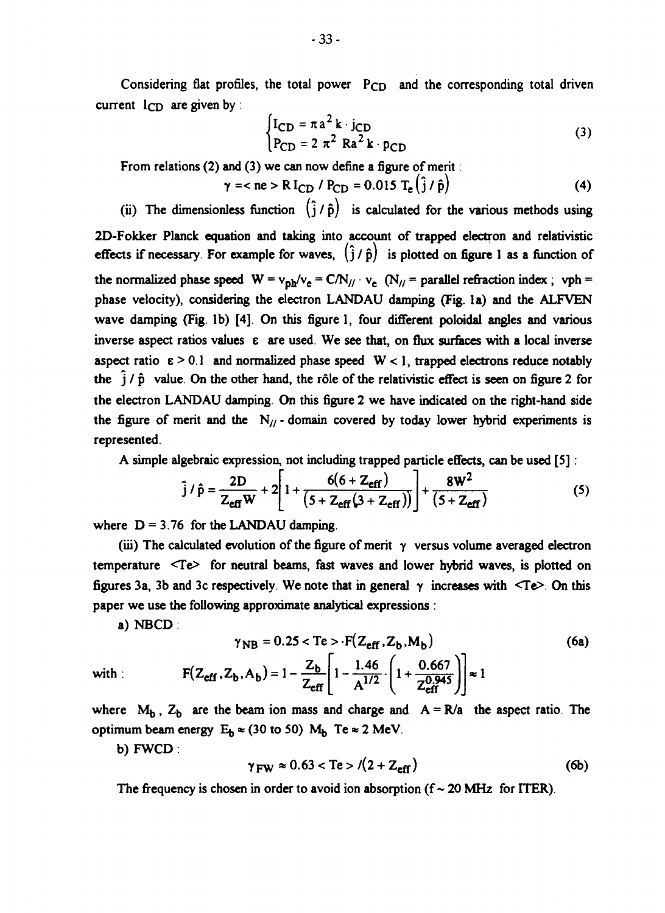Considering flat profiles, the total power P<sub>CD</sub> and the corresponding total driven current I<sub>CD</sub> are given by :

$$
\begin{cases}\nI_{CD} = \pi a^2 k \cdot j_{CD} \\
P_{CD} = 2 \pi^2 Ra^2 k \cdot p_{CD}\n\end{cases}
$$
\n(3)

**From relations (2) and (3) we can now define a figure of merit:**

$$
\gamma =  \text{Re} > \text{R I}_{\text{CD}} / P_{\text{CD}} = 0.015 \text{ T}_{\text{e}} (\hat{j} / \hat{p})
$$
(4)

(ii) The dimensionless function  $(\hat{j}/\hat{p})$  is calculated for the various methods using **2D-Fokker Planck equation and taking into account of trapped electron and relativistic** effects if necessary. For example for waves,  $(\hat{i}/\hat{p})$  is plotted on figure 1 as a function of the normalized phase speed  $W = v_{\text{ph}}/v_{\text{e}} = C/N_{//} \cdot v_{\text{e}}$  (N<sub>//</sub> = parallel refraction index ; vph = **phase velocity), considering the electron LANDAU damping (Fig. la) and the ALFVEN wave damping (Fig. lb) [4]. On this figure 1, four different poloidal angles and various inverse aspect ratios values e are used. We see that, on flux surfaces with a local inverse** aspect ratio  $\varepsilon > 0.1$  and normalized phase speed  $W < 1$ , trapped electrons reduce notably **the j / p value. On the other hand, the role of the relativistic effect is seen on figure 2 for the electron LANDAU damping. On this figure 2 we have indicated on the right-hand side** the figure of merit and the  $N_{//}$  - domain covered by today lower hybrid experiments is **represented.**

**A simple algebraic expression, not including trapped particle effects, can be used [5]:**

$$
\hat{j} / \hat{p} = \frac{2D}{Z_{\text{eff}}W} + 2 \left[ 1 + \frac{6(6 + Z_{\text{eff}})}{(5 + Z_{\text{eff}}(3 + Z_{\text{eff}}))} \right] + \frac{8W^2}{(5 + Z_{\text{eff}})}
$$
(5)

where  $D = 3.76$  for the LANDAU damping.

**(iii) The calculated evolution of the figure of merit y versus volume averaged electron temperature <Te> for neutral beams, fast waves and lower hybrid waves, is plotted on** figures 3a, 3b and 3c respectively. We note that in general  $\gamma$  increases with  $\leq Te$ . On this **paper we use the following approximate analytical expressions :**

**a) NBCD :**

$$
\gamma_{NB} = 0.25 < Te > F(Z_{eff}, Z_b, M_b)
$$
\n
$$
F(Z_{eff}, Z_b, A_b) = 1 - \frac{Z_b}{Z_{eff}} \left[ 1 - \frac{1.46}{A^{1/2}} \cdot \left( 1 + \frac{0.667}{Z_{eff}^{0.945}} \right) \right] \approx 1
$$
\n(6a)

where  $M_b$ ,  $Z_b$  are the beam ion mass and charge and  $A = R/a$  the aspect ratio. The **optimum beam energy**  $E_b \approx (30 \text{ to } 50) \text{ M}_b$  Te  $\approx 2 \text{ MeV}$ .

**b) FWCD :**

$$
\gamma_{\rm FW} \approx 0.63 < \text{Te} > l(2 + \text{Z}_{\rm eff}) \tag{6b}
$$

The frequency is chosen in order to avoid ion absorption  $(f \sim 20 \text{ MHz})$  for ITER).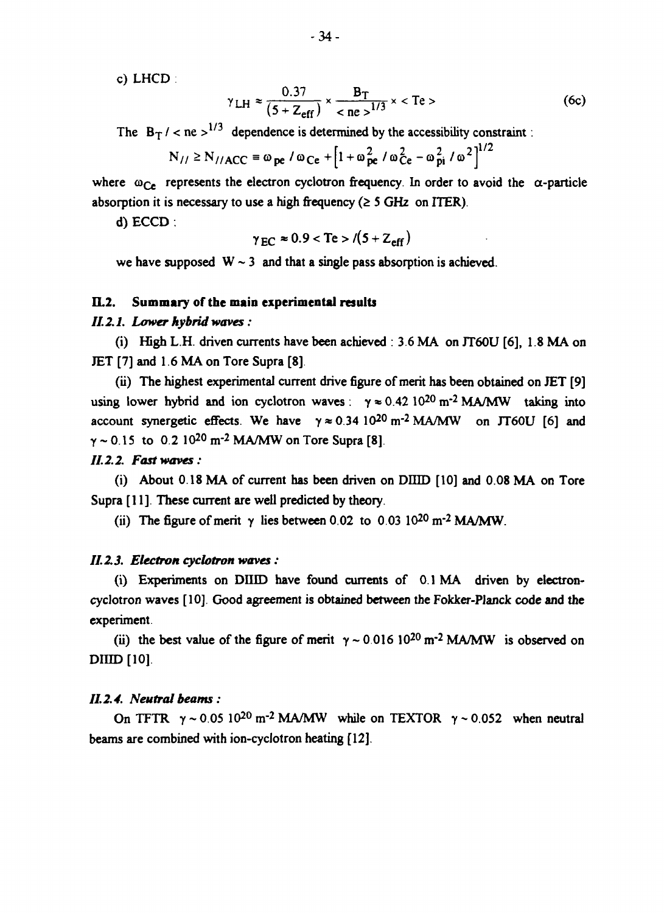c) LHCD

$$
\gamma_{\text{LH}} \approx \frac{0.37}{(5 + Z_{\text{eff}})} \times \frac{B_T}{^{1/3}} \times
$$
 (6c)

The  $B_T$  / < ne >  $1/3$  dependence is determined by the accessibility constraint:

$$
N_{//} \ge N_{//ACC} \equiv \omega_{pe} / \omega_{Ce} + \left[1 + \omega_{pe}^2 / \omega_{Ce}^2 - \omega_{pi}^2 / \omega^2\right]^{1/2}
$$

where  $\omega_{Ce}$  represents the electron cyclotron frequency. In order to avoid the  $\alpha$ -particle absorption it is necessary to use a high frequency  $( \geq 5 \text{ GHz} \text{ on } ITER)$ .

d) ECCD .

$$
\gamma_{EC} \approx 0.9 < \text{Te} > \sqrt{(5 + Z_{\text{eff}})}
$$

we have supposed  $W \sim 3$  and that a single pass absorption is achieved.

#### EL2. **Summary of the main experimental results**

### *II. 2.1. Lower hybrid waves:*

(i) High L.H. driven currents have been achieved : 3.6 MA on JT60U [6], 1.8 MA on JET [7] and 1.6 MA on Tore Supra [8].

(ii) The highest experimental current drive figure of merit has been obtained on JET [9] using lower hybrid and ion cyclotron waves:  $\gamma \approx 0.42 \times 10^{20} \text{ m}^2 \text{ M}\text{A/MW}$  taking into account synergetic effects. We have  $\gamma \approx 0.34 \, 10^{20} \, \text{m}^{-2} \, \text{MA} / \text{MW}$  on JT60U [6] and *y* ~ 0.15 to 0.2 10<sup>20</sup> m<sup>-2</sup> MA/MW on Tore Supra [8].

## **7/2.2** *Fast waves:*

(i) About 0.18 MA of current has been driven on DIIID [10] and 0.08 MA on Tore Supra [11]. These current are well predicted by theory.

(ii) The figure of merit  $\gamma$  lies between 0.02 to 0.03 10<sup>20</sup> m<sup>-2</sup> MA/MW.

#### *11.2.3. Electron cyclotron waves:*

(i) Experiments on DUID have found currents of 0.1 MA driven by electroncyclotron waves [10]. Good agreement is obtained between the Fokker-Planck code and the experiment.

(ii) the best value of the figure of merit  $\gamma \sim 0.016 \, 10^{20} \, \text{m}^{-2}$  MA/MW is observed on DIHD [10].

#### *11.2.4. Neutral beams :*

On TFTR  $\gamma \sim 0.05 \times 10^{20} \text{ m}^{-2}$  MA/MW while on TEXTOR  $\gamma \sim 0.052$  when neutral beams are combined with ion-cyclotron heating [12].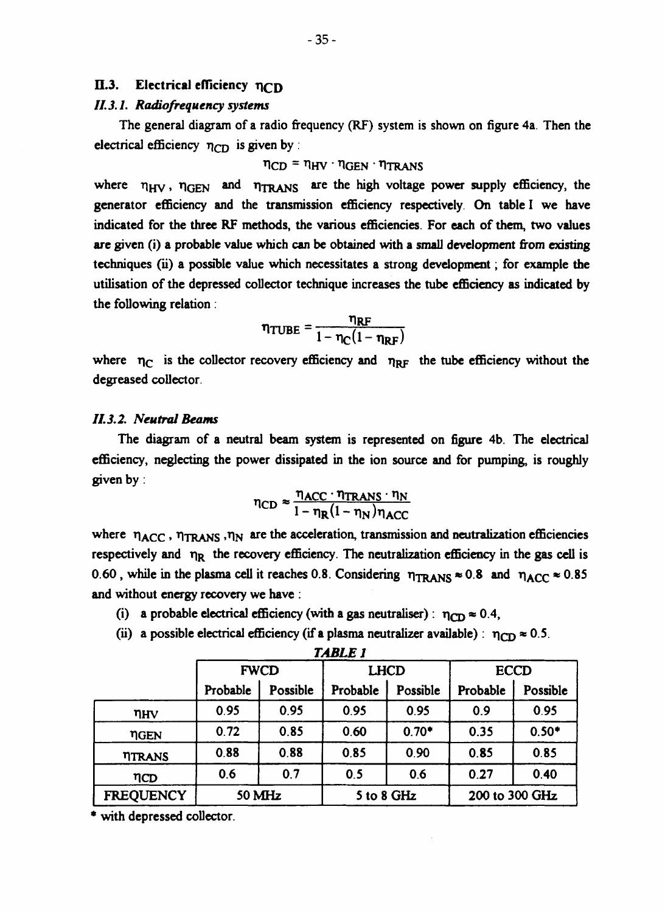# **II.3.** Electrical efficiency n<sub>CD</sub>

#### *II.3.1. Radiofrequency systems*

**The general diagram of a radio frequency (RF) system is shown on figure 4a. Then the electrical efficiency**  $η_{CD}$  is given by :

## $\eta_{CD} = \eta_{HV} \cdot \eta_{GEN} \cdot \eta_{TRANS}$

where  $\eta_{HV}$ ,  $\eta_{GEN}$  and  $\eta_{TRANS}$  are the high voltage power supply efficiency, the **generator efficiency and the transmission efficiency respectively. On table I we have indicated for the three RF methods, the various efficiencies. For each of them, two values are given (i) a probable value which can be obtained with a small development from existing techniques (ii) a possible value which necessitates a strong development; for example the utilisation of the depressed collector technique increases the tube efficiency as indicated by the following relation:**

$$
\eta_{\text{TUBE}} = \frac{\eta_{\text{RF}}}{1 - \eta_{\text{C}}(1 - \eta_{\text{RF}})}
$$

where  $\eta_C$  is the collector recovery efficiency and  $\eta_{RF}$  the tube efficiency without the **degreased collector**

## *II.3.2. Neutral Beams*

**The diagram of a neutral beam system is represented on figure 4b. The electrical efficiency, neglecting the power dissipated in the ion source and for pumping, is roughly given by :**

$$
\eta_{CD} \approx \frac{\eta_{ACC} \cdot \eta_{TRANS} \cdot \eta_{N}}{1 - \eta_{R} (1 - \eta_{N}) \eta_{ACC}}
$$

where  $\eta_{\text{ACC}}$ ,  $\eta_{\text{TRANS}}$ ,  $\eta_{\text{N}}$  are the acceleration, transmission and neutralization efficiencies respectively and  $\eta_R$  the recovery efficiency. The neutralization efficiency in the gas cell is 0.60, while in the plasma cell it reaches 0.8. Considering  $\eta_{\text{TRANS}} \approx 0.8$  and  $\eta_{\text{ACC}} \approx 0.85$ **and without energy recovery we have :**

- (i) a probable electrical efficiency (with a gas neutraliser):  $\eta_{CD} \approx 0.4$ ,
- (ii) a possible electrical efficiency (if a plasma neutralizer available) :  $\eta_{CD} \approx 0.5$ .

|                  | <b>FWCD</b> |          | <b>LHCD</b> |          | <b>ECCD</b>    |          |
|------------------|-------------|----------|-------------|----------|----------------|----------|
|                  | Probable    | Possible | Probable    | Possible | Probable       | Possible |
| $\eta_{\rm HV}$  | 0.95        | 0.95     | 0.95        | 0.95     | 0.9            | 0.95     |
| <b>TIGEN</b>     | 0.72        | 0.85     | 0.60        | $0.70*$  | 0.35           | $0.50*$  |
| <b>TITRANS</b>   | 0.88        | 0.88     | 0.85        | 0.90     | 0.85           | 0.85     |
| ηCD              | 0.6         | 0.7      | 0.5         | 0.6      | 0.27           | 0.40     |
| <b>FREQUENCY</b> | 50 MHz      |          | 5 to 8 GHz  |          | 200 to 300 GHz |          |

*TABLE 1*

**with depressed collector.**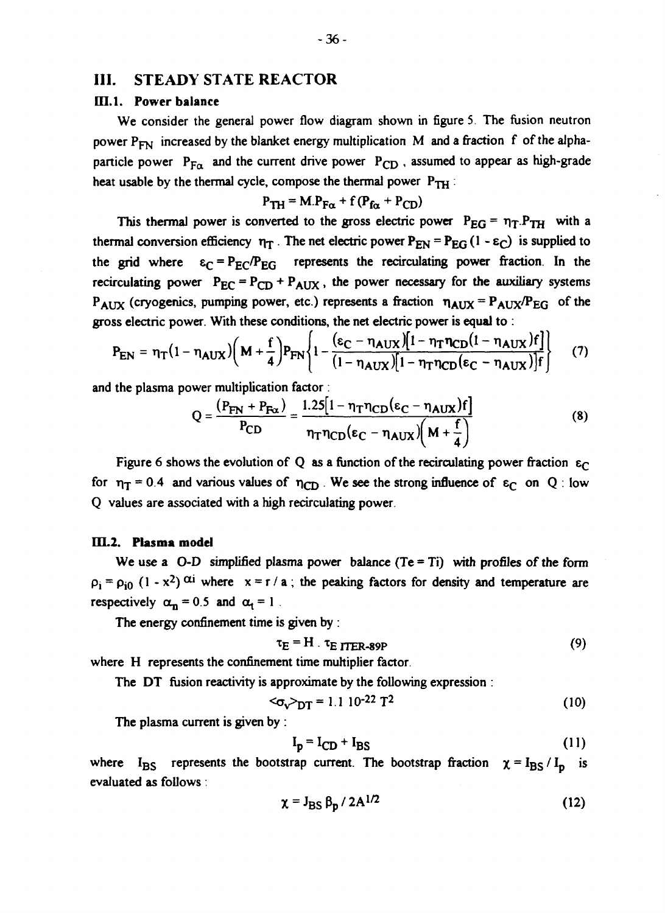## **III. STEADY STATE REACTOR**

#### III.1. Power balance

We consider the general power flow diagram shown in figure 5. The fusion neutron power  $P_{FN}$  increased by the blanket energy multiplication M and a fraction f of the alphaparticle power  $P_{FA}$  and the current drive power  $P_{CD}$  , assumed to appear as high-grade heat usable by the thermal cycle, compose the thermal power  $P_{TH}$ :

$$
P_{TH} = M.P_{F\alpha} + f(P_{f\alpha} + P_{CD})
$$

This thermal power is converted to the gross electric power  $P_{EG} = \eta_T.P_{TH}$  with a thermal conversion efficiency  $\eta_T$ . The net electric power  $P_{EN} = P_{EG} (1 - \epsilon_C)$  is supplied to the grid where  $\varepsilon_C = P_{EC}/P_{EG}$  represents the recirculating power fraction. In the recirculating power  $P_{EC} = P_{CD} + P_{AUX}$ , the power necessary for the auxiliary systems  $P_{AUX}$  (cryogenics, pumping power, etc.) represents a fraction  $\eta_{AUX} = P_{AUX}/P_{EG}$  of the gross electric power. With these conditions, the net electric power is equal to :

$$
P_{EN} = \eta_T (1 - \eta_{AUX}) \left( M + \frac{f}{4} \right) P_{FN} \left\{ 1 - \frac{(\epsilon_C - \eta_{AUX}) [1 - \eta_T \eta_{CD} (1 - \eta_{AUX}) f]}{(1 - \eta_{AUX}) [1 - \eta_T \eta_{CD} (\epsilon_C - \eta_{AUX})] f} \right\}
$$
(7)

and the plasma power multiplication factor

$$
Q = \frac{(P_{FN} + P_{Fx})}{P_{CD}} = \frac{1.25[1 - \eta_T \eta_{CD}(\epsilon_C - \eta_{AUX})f]}{\eta_T \eta_{CD}(\epsilon_C - \eta_{AUX})\left(M + \frac{f}{4}\right)}
$$
(8)

Figure 6 shows the evolution of Q as a function of the recirculating power fraction  $\varepsilon_{\text{C}}$ for  $\eta_T = 0.4$  and various values of  $\eta_{CD}$ . We see the strong influence of  $\varepsilon_C$  on Q: low Q values are associated with a high recirculating power.

#### IIL2. **Plasma model**

We use a  $O-D$  simplified plasma power balance (Te = Ti) with profiles of the form  $\rho_1 = \rho_{10} (1 - x^2)$   $\alpha i$  where  $x = r / a$ ; the peaking factors for density and temperature are respectively  $\alpha_n = 0.5$  and  $\alpha_1 = 1$ .

The energy confinement time is given by :

$$
\tau_E = H \cdot \tau_E \text{ TTER-89P} \tag{9}
$$

where H represents the confinement time multiplier factor.

The DT fusion reactivity is approximate by the following expression :

$$
<\!\!\sigma_{\rm v}\!\!>_{\rm DT}=1.1\,10^{-22}\,T^2\tag{10}
$$

The plasma current is given by :

$$
\mathbf{I}_p = \mathbf{I}_{CD} + \mathbf{I}_{BS} \tag{11}
$$

where  $I_{BS}$  represents the bootstrap current. The bootstrap fraction  $\chi = I_{BS}/I_p$  is evaluated as follows .

$$
\chi = J_{BS} \beta_{\rm D} / 2A^{1/2} \tag{12}
$$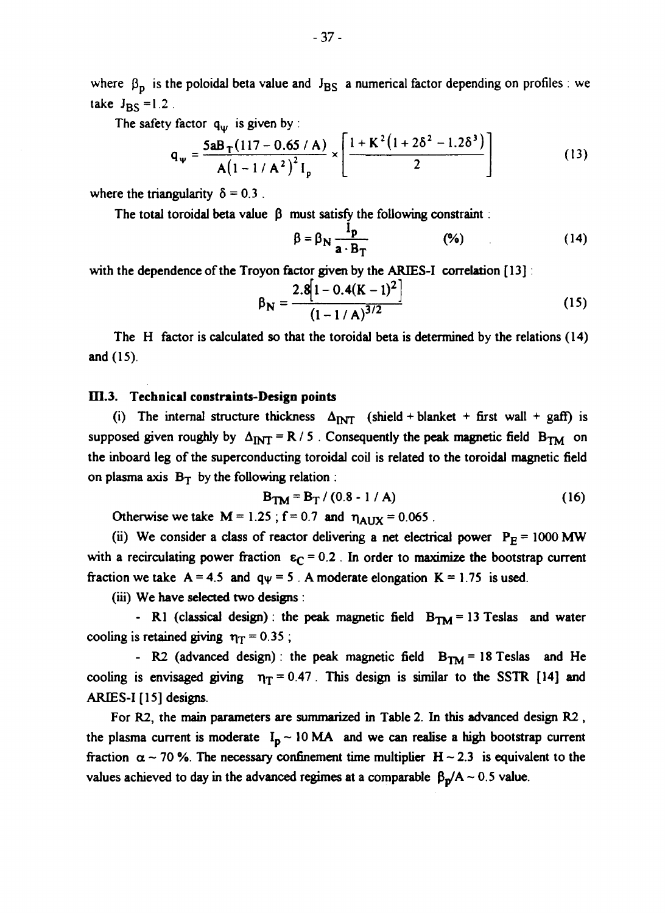where  $\beta_p$  is the poloidal beta value and  $J_{BS}$  a numerical factor depending on profiles : we take  $J_{\text{BS}} = 1.2$ .

**The safety factor** *qw* **is given by :**

$$
q_{\psi} = \frac{5aB_{T}(117 - 0.65/A)}{A(1 - 1/A^{2})^{2}I_{p}} \times \left[\frac{1 + K^{2}(1 + 2\delta^{2} - 1.2\delta^{3})}{2}\right]
$$
(13)

where the triangularity  $\delta = 0.3$ .

The total toroidal beta value  $\beta$  must satisfy the following constraint :

$$
\beta = \beta_{N} \frac{I_{p}}{a \cdot B_{T}} \tag{96}
$$

**with the dependence of the Troyon factor given by the ARIES-I correlation [13]:**

$$
\beta_{\mathbf{N}} = \frac{2.8[1 - 0.4(K - 1)^2]}{(1 - 1/A)^{3/2}}
$$
 (15)

**The H factor is calculated so that the toroidal beta is determined by the relations (14) and (15).**

#### **D1.3. Technical constraints-Design points**

(i) The internal structure thickness  $\Delta_{\text{INT}}$  (shield + blanket + first wall + gaff) is supposed given roughly by  $\Delta_{\text{INT}} = R / 5$ . Consequently the peak magnetic field  $B_{\text{TM}}$  on **the inboard leg of the superconducting toroidal coil is related to the toroidal magnetic field** on plasma axis  $B_T$  by the following relation :

$$
B_{TM} = B_T / (0.8 - 1 / A)
$$
 (16)

**Otherwise we take**  $M = 1.25$ **;**  $f = 0.7$  **and**  $\eta_{A I I X} = 0.065$ **.** 

(ii) We consider a class of reactor delivering a net electrical power  $P_E = 1000$  MW with a recirculating power fraction  $\varepsilon_C = 0.2$ . In order to maximize the bootstrap current fraction we take  $A = 4.5$  and  $q\psi = 5$ . A moderate elongation  $K = 1.75$  is used.

**(iii) We have selected two designs :**

**- R1 (classical design) : the peak magnetic field**  $B_{TM} = 13$  **Teslas and water** cooling is retained giving  $\eta$ <sup> $\tau$ </sup> = 0.35 ;

**- R2** (advanced design): the peak magnetic field  $B_{TM} = 18$  Teslas and He cooling is envisaged giving  $\eta_T = 0.47$ . This design is similar to the SSTR [14] and **ARIES-I [15] designs.**

**For R2, the main parameters are summarized in Table 2. In this advanced design R2 ,** the plasma current is moderate  $I_p \sim 10 \text{ MA}$  and we can realise a high bootstrap current fraction  $\alpha \sim 70$  %. The necessary confinement time multiplier  $H \sim 2.3$  is equivalent to the values achieved to day in the advanced regimes at a comparable  $\beta_p/A \sim 0.5$  value.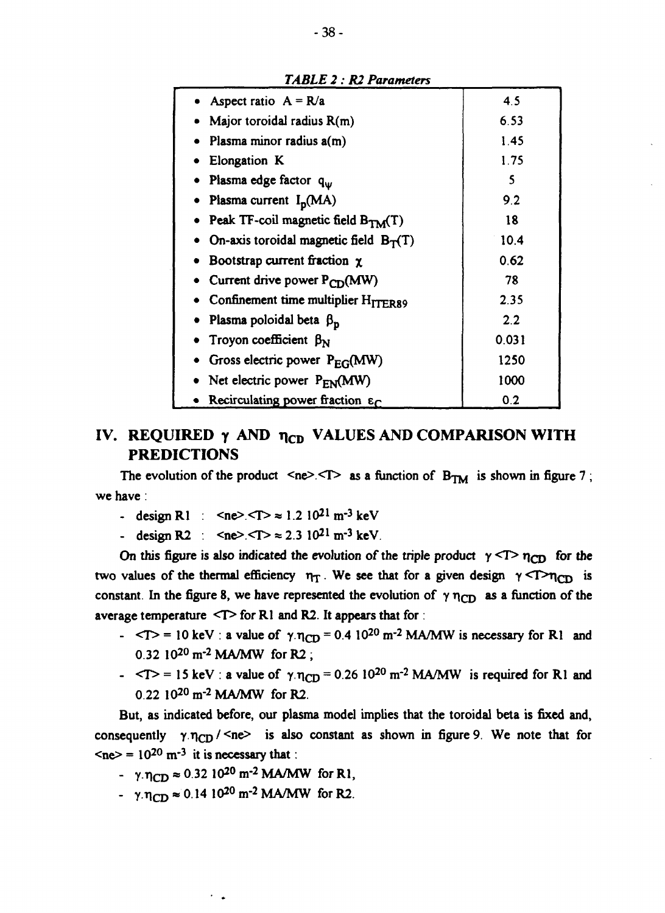| Aspect ratio $A = R/a$                                  | 4.5     |
|---------------------------------------------------------|---------|
| • Major toroidal radius $R(m)$                          | 6.53    |
| $\bullet$ Plasma minor radius $a(m)$                    | 1.45    |
| <b>Elongation K</b>                                     | 1.75    |
| • Plasma edge factor $q_w$                              | 5       |
| • Plasma current $I_p(MA)$                              | 9.2     |
| • Peak TF-coil magnetic field $B_{TM}(T)$               | 18      |
| • On-axis toroidal magnetic field $B_T(T)$              | 10.4    |
| • Bootstrap current fraction $\chi$                     | 0.62    |
| Current drive power $P_{CD}(MW)$                        | 78      |
| • Confinement time multiplier $H_{\text{TFR}89}$        | 2.35    |
| • Plasma poloidal beta $\beta_p$                        | $2.2\,$ |
| Troyon coefficient $\beta_N$                            | 0.031   |
| • Gross electric power $P_{EG}(MW)$                     | 1250    |
| • Net electric power $P_{EN}(MW)$                       | 1000    |
| • Recirculating power fraction $\varepsilon_{\text{C}}$ | 0.2     |

### *TABLE 2 : R2 Parameters*

# **IV. REQUIRED**  $\gamma$  **AND**  $\eta_{CD}$  **VALUES AND COMPARISON WITH PREDICTIONS**

The evolution of the product  $\langle n e \rangle \langle T \rangle$  as a function of  $B_{TM}$  is shown in figure 7; **we have:**

- **-** design R1 :  $\langle ne \rangle \langle T \rangle \approx 1.2 \, 10^{21} \, \text{m}^{-3} \, \text{keV}$
- **-** design R2 :  $\langle$ ne>. $\langle$ T>  $\approx$  2.3 10<sup>21</sup> m<sup>-3</sup> keV.

On this figure is also indicated the evolution of the triple product  $\gamma$  <T> $\gamma$ <sub>CD</sub> for the two values of the thermal efficiency  $\eta_T$ . We see that for a given design  $\gamma$ <T> $\eta_{CD}$  is constant. In the figure 8, we have represented the evolution of  $\gamma \eta_{CD}$  as a function of the **average temperature <T> for Rl and R2. It appears that for:**

- **-**  $\langle T \rangle$  = 10 keV : a value of  $\gamma \cdot \eta_{CD}$  = 0.4 10<sup>20</sup> m<sup>-2</sup> MA/MW is necessary for R1 and **0.32 10<sup>20</sup> m-<sup>2</sup> MA/MW for R2 ;**
- **-**  $\langle T \rangle$  = 15 keV : a value of  $\gamma \eta_{CD}$  = 0.26 10<sup>20</sup> m<sup>-2</sup> MA/MW is required for Rl and **0.22 10<sup>20</sup> m"<sup>2</sup> MA/MW for R2.**

**But, as indicated before, our plasma model implies that the toroidal beta is fixed and,** consequently  $\gamma \eta_{CD}$  /  $\leq$ ne> is also constant as shown in figure 9. We note that for  $\langle$ ne $\rangle$  = 10<sup>20</sup> m<sup>-3</sup> it is necessary that:

- $\gamma \cdot \eta_{CD} \approx 0.32 \, 10^{20} \, \text{m}^{-2} \, \text{MA/MW}$  for R1,
- $\gamma \cdot \eta_{CD} \approx 0.14 \cdot 10^{20} \text{ m}^{-2} \text{ MA/MW}$  for R2.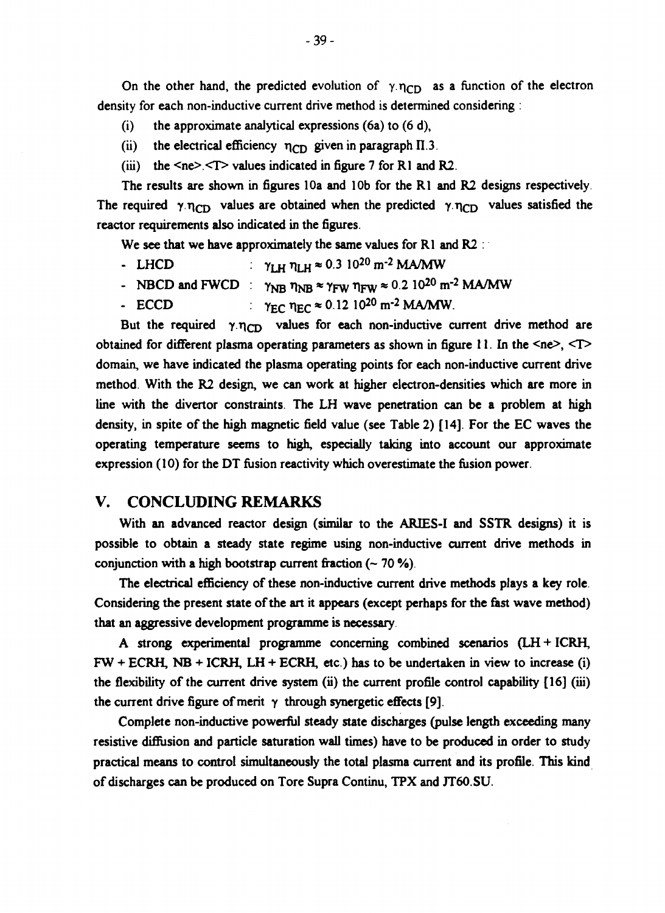On the other hand, the predicted evolution of  $\gamma \cdot \eta_{CD}$  as a function of the electron **density for each non-inductive current drive method is determined considering :**

- **(i) the approximate analytical expressions (6a) to (6 d),**
- (ii) the electrical efficiency  $\eta_{CD}$  given in paragraph  $\Pi$ .3.
- **(iii) the <ne>.<T> values indicated in figure 7 for Rl and R2.**

**The results are shown in figures 10a and 10b for the Rl and R2 designs respectively** The required  $\gamma \eta_{CD}$  values are obtained when the predicted  $\gamma \eta_{CD}$  values satisfied the **reactor requirements also indicated in the figures.**

**We see that we have approximately the same values for Rl and R2 :**

| - LHCD | $\gamma_{LH} \eta_{LH} \approx 0.3 \ 10^{20} \ \text{m}^{-2} \ \text{MA} / \text{MW}$                                              |
|--------|------------------------------------------------------------------------------------------------------------------------------------|
|        | - NBCD and FWCD : $\gamma_{NB}$ $\eta_{NB}$ $\approx \gamma_{FW}$ $\eta_{FW}$ $\approx 0.2$ 10 <sup>20</sup> m <sup>-2</sup> MA/MW |
| - ECCD | $\gamma_{EC}$ $\eta_{EC} \approx 0.12 10^{20}$ m <sup>-2</sup> MA/MW.                                                              |

But the required  $\gamma \eta_{CD}$  values for each non-inductive current drive method are **obtained for different plasma operating parameters as shown in figure 11. In the <ne>, <T> domain, we have indicated the plasma operating points for each non-inductive current drive method With the R2 design, we can work at higher electron-densities which are more in line with the divertor constraints. The LH wave penetration can be a problem at high density, in spite of the high magnetic field value (see Table 2) [14]. For the EC waves the operating temperature seems to high, especially taking into account our approximate expression (10) for the DT fusion reactivity which overestimate the fusion power.**

# **V. CONCLUDING REMARKS**

**With an advanced reactor design (similar to the ARIES-I and SSTR designs) it is possible to obtain a steady state regime using non-inductive current drive methods in conjunction with a high bootstrap current fraction (~ 70 %).**

**The electrical efficiency of these non-inductive current drive methods plays a key role. Considering the present state of the art it appears (except perhaps for the fast wave method) that an aggressive development programme is necessary.**

**A strong experimental programme concerning combined scenarios (LH + ICRH, FW + ECRH, NB + ICRH, LH + ECRH, etc.) has to be undertaken in view to increase (i) the flexibility of the current drive system (ii) the current profile control capability [16] (iii)** the current drive figure of merit  $\gamma$  through synergetic effects [9].

**Complete non-inductive powerful steady state discharges (pulse length exceeding many resistive diffusion and particle saturation wall times) have to be produced in order to study practical means to control simultaneously the total plasma current and its profile. This kind of discharges can be produced on Tore Supra Continu, TPX and JT60.SU.**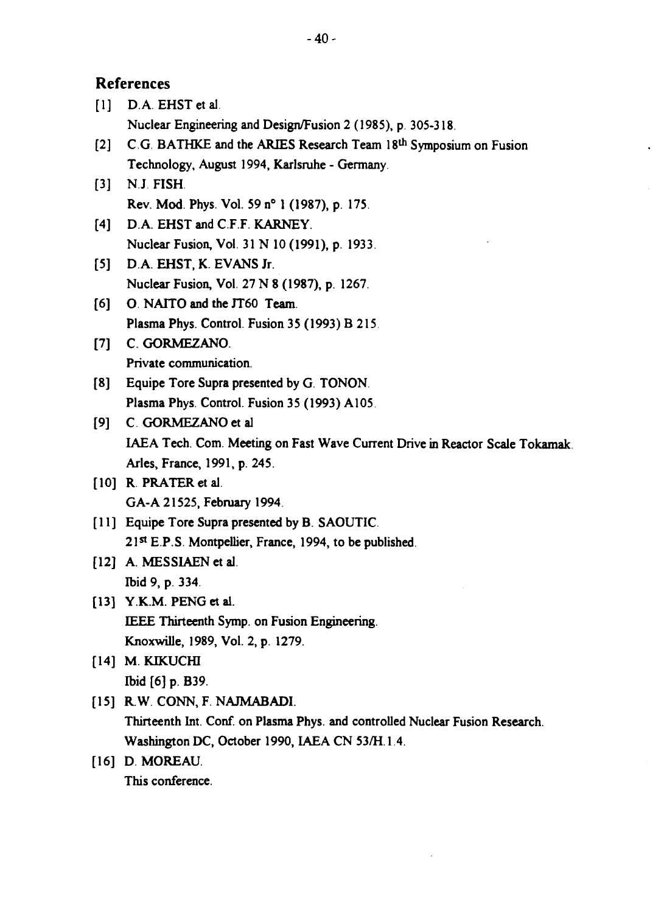# **References**

| $[1]$            | D.A. EHST et al.                                                              |
|------------------|-------------------------------------------------------------------------------|
|                  | Nuclear Engineering and Design/Fusion 2 (1985), p. 305-318.                   |
| $\left[2\right]$ | C.G. BATHKE and the ARIES Research Team 18th Symposium on Fusion              |
|                  | Technology, August 1994, Karlsruhe - Germany.                                 |
| $[3]$            | N.J. FISH.                                                                    |
|                  | Rev. Mod. Phys. Vol. 59 n° 1 (1987), p. 175.                                  |
| [4]              | D.A. EHST and C.F.F. KARNEY.                                                  |
|                  | Nuclear Fusion, Vol. 31 N 10 (1991), p. 1933.                                 |
| $\left[5\right]$ | D.A. EHST, K. EVANS Jr.                                                       |
|                  | Nuclear Fusion, Vol. 27 N 8 (1987), p. 1267.                                  |
| [6]              | O. NAITO and the JT60 Team.                                                   |
|                  | Plasma Phys. Control. Fusion 35 (1993) B 215.                                 |
| $[7]$            | C. GORMEZANO.                                                                 |
|                  | Private communication.                                                        |
| [8]              | Equipe Tore Supra presented by G. TONON.                                      |
|                  | Plasma Phys. Control. Fusion 35 (1993) A105.                                  |
| [9]              | C. GORMEZANO et al                                                            |
|                  | IAEA Tech. Com. Meeting on Fast Wave Current Drive in Reactor Scale Tokamak.  |
|                  | Arles, France, 1991, p. 245.                                                  |
|                  | $[10]$ R. PRATER et al.                                                       |
|                  | GA-A 21525, February 1994.                                                    |
|                  | [11] Equipe Tore Supra presented by B. SAOUTIC.                               |
|                  | 21st E.P.S. Montpellier, France, 1994, to be published.                       |
|                  | [12] A. MESSIAEN et al.                                                       |
|                  | Ibid 9, p. 334.                                                               |
|                  | [13] Y.K.M. PENG et al.                                                       |
|                  | IEEE Thirteenth Symp. on Fusion Engineering.                                  |
|                  | Knoxwille, 1989, Vol. 2, p. 1279.                                             |
|                  | $[14]$ M. KIKUCHI                                                             |
|                  | Ibid [6] p. B39.                                                              |
|                  | [15] R.W. CONN, F. NAJMABADI.                                                 |
|                  | Thirteenth Int. Conf. on Plasma Phys. and controlled Nuclear Fusion Research. |
|                  | Washington DC, October 1990, IAEA CN 53/H.1.4.                                |

 $\mathcal{L}$ 

[16] D. **MOREAU**.

**This conference.**

 $\hat{\mathbf{v}}$ 

 $\frac{1}{2}$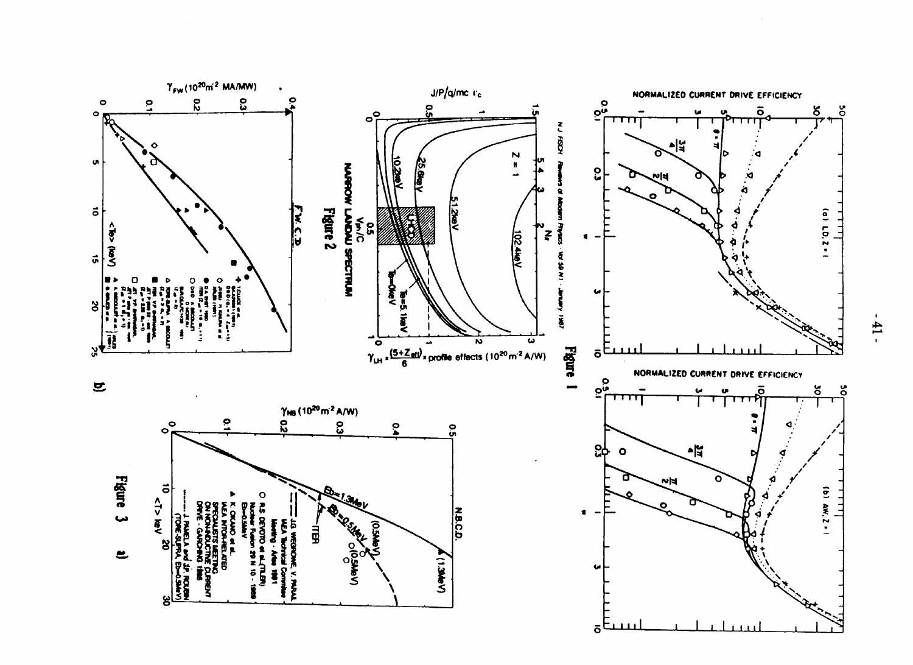

 $\blacksquare$  $\mathbf{11}$ ۰.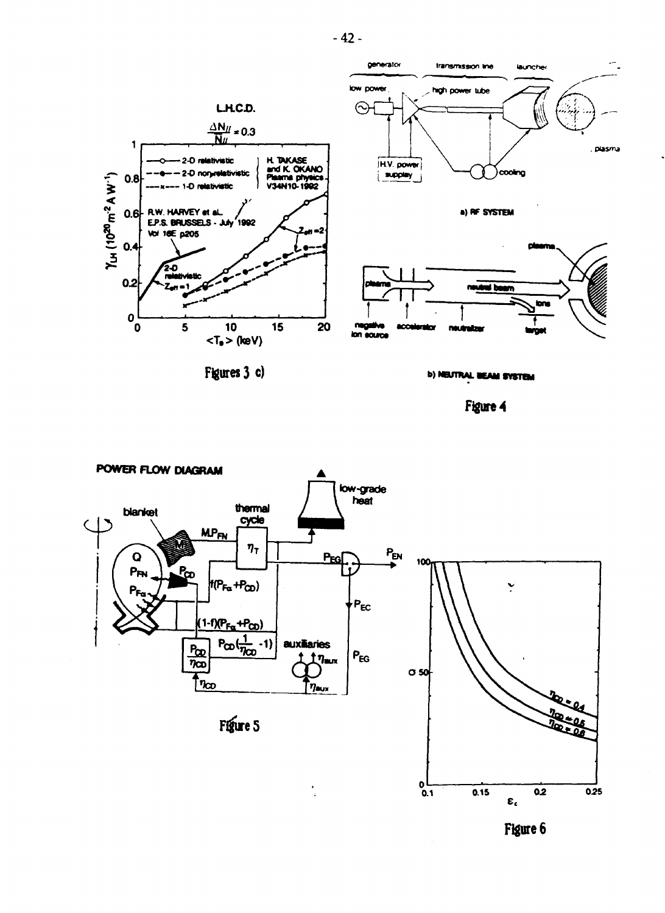

Figures 3 c)

**b) NEUTRAL BEAM SYSTEM** 

Figure 4



Figure 6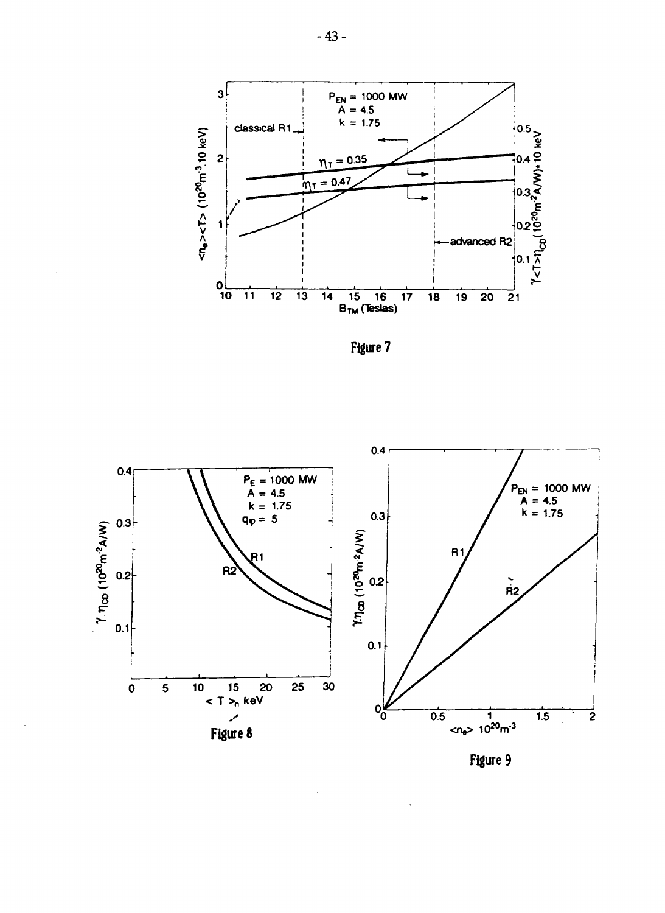

Figure 7



Figure 9